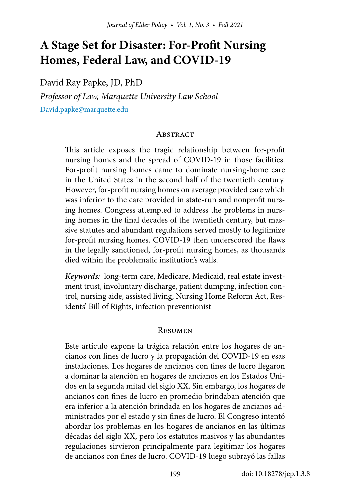# **A Stage Set for Disaster: For-Profit Nursing Homes, Federal Law, and COVID-19**

David Ray Papke, JD, PhD

*Professor of Law, Marquette University Law School* [David.papke@marquette.edu](mailto:David.papke%40marquette.edu?subject=)

#### **ABSTRACT**

This article exposes the tragic relationship between for-profit nursing homes and the spread of COVID-19 in those facilities. For-profit nursing homes came to dominate nursing-home care in the United States in the second half of the twentieth century. However, for-profit nursing homes on average provided care which was inferior to the care provided in state-run and nonprofit nursing homes. Congress attempted to address the problems in nursing homes in the final decades of the twentieth century, but massive statutes and abundant regulations served mostly to legitimize for-profit nursing homes. COVID-19 then underscored the flaws in the legally sanctioned, for-profit nursing homes, as thousands died within the problematic institution's walls.

*Keywords:* long-term care, Medicare, Medicaid, real estate investment trust, involuntary discharge, patient dumping, infection control, nursing aide, assisted living, Nursing Home Reform Act, Residents' Bill of Rights, infection preventionist

#### **RESUMEN**

Este artículo expone la trágica relación entre los hogares de ancianos con fines de lucro y la propagación del COVID-19 en esas instalaciones. Los hogares de ancianos con fines de lucro llegaron a dominar la atención en hogares de ancianos en los Estados Unidos en la segunda mitad del siglo XX. Sin embargo, los hogares de ancianos con fines de lucro en promedio brindaban atención que era inferior a la atención brindada en los hogares de ancianos administrados por el estado y sin fines de lucro. El Congreso intentó abordar los problemas en los hogares de ancianos en las últimas décadas del siglo XX, pero los estatutos masivos y las abundantes regulaciones sirvieron principalmente para legitimar los hogares de ancianos con fines de lucro. COVID-19 luego subrayó las fallas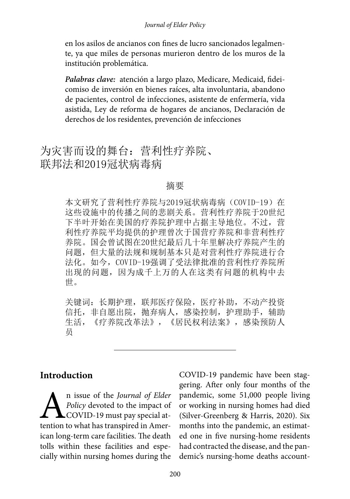en los asilos de ancianos con fines de lucro sancionados legalmente, ya que miles de personas murieron dentro de los muros de la institución problemática.

*Palabras clave:*atención a largo plazo, Medicare, Medicaid, fideicomiso de inversión en bienes raíces, alta involuntaria, abandono de pacientes, control de infecciones, asistente de enfermería, vida asistida, Ley de reforma de hogares de ancianos, Declaración de derechos de los residentes, prevención de infecciones

# 为灾害而设的舞台:营利性疗养院、 联邦法和2019冠状病毒病

#### 摘要

本文研究了营利性疗养院与2019冠状病毒病 (COVID-19) 在 这些设施中的传播之间的悲剧关系。营利性疗养院于20世纪 下半叶开始在美国的疗养院护理中占据主导地位。不过,营 利性疗养院平均提供的护理曾次于国营疗养院和非营利性疗 养院。国会曾试图在20世纪最后几十年里解决疗养院产生的 问题,但大量的法规和规制基本只是对营利性疗养院进行合 法化。如今,COVID-19强调了受法律批准的营利性疗养院所 出现的问题,因为成千上万的人在这类有问题的机构中去 世。

关键词: 长期护理, 联邦医疗保险, 医疗补助, 不动产投资 信托, 非自愿出院, 抛弃病人, 感染控制, 护理助手, 辅助 生活,《疗养院改革法》,《居民权利法案》,感染预防人 员

### **Introduction**

An issue of the *Journal of Elder*<br>*Policy* devoted to the impact of<br>**COVID-19** must pay special attention to what has transpired in Amer-*Policy* devoted to the impact of COVID-19 must pay special attention to what has transpired in American long-term care facilities. The death tolls within these facilities and especially within nursing homes during the

COVID-19 pandemic have been staggering. After only four months of the pandemic, some 51,000 people living or working in nursing homes had died (Silver-Greenberg & Harris, 2020). Six months into the pandemic, an estimated one in five nursing-home residents had contracted the disease, and the pandemic's nursing-home deaths account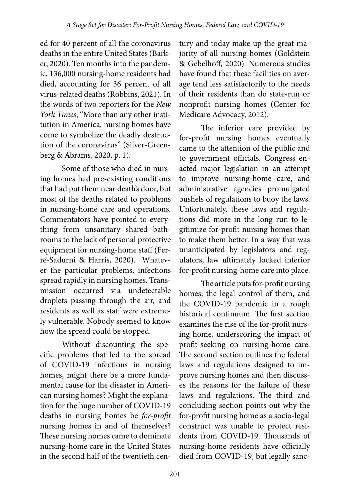ed for 40 percent of all the coronavirus deaths in the entire United States (Barker, 2020). Ten months into the pandemic, 136,000 nursing-home residents had died, accounting for 36 percent of all virus-related deaths (Robbins, 2021). In the words of two reporters for the *New York Times*, "More than any other institution in America, nursing homes have come to symbolize the deadly destruction of the coronavirus" (Silver-Greenberg & Abrams, 2020, p. 1).

Some of those who died in nursing homes had pre-existing conditions that had put them near death's door, but most of the deaths related to problems in nursing-home care and operations. Commentators have pointed to everything from unsanitary shared bathrooms to the lack of personal protective equipment for nursing-home staff (Ferré-Sadurni & Harris, 2020). Whatever the particular problems, infections spread rapidly in nursing homes. Transmission occurred via undetectable droplets passing through the air, and residents as well as staff were extremely vulnerable. Nobody seemed to know how the spread could be stopped.

Without discounting the specific problems that led to the spread of COVID-19 infections in nursing homes, might there be a more fundamental cause for the disaster in American nursing homes? Might the explanation for the huge number of COVID-19 deaths in nursing homes be *for-profit*  nursing homes in and of themselves? These nursing homes came to dominate nursing-home care in the United States in the second half of the twentieth cen-

tury and today make up the great majority of all nursing homes (Goldstein & Gebelhoff, 2020). Numerous studies have found that these facilities on average tend less satisfactorily to the needs of their residents than do state-run or nonprofit nursing homes (Center for Medicare Advocacy, 2012).

The inferior care provided by for-profit nursing homes eventually came to the attention of the public and to government officials. Congress enacted major legislation in an attempt to improve nursing-home care, and administrative agencies promulgated bushels of regulations to buoy the laws. Unfortunately, these laws and regulations did more in the long run to legitimize for-profit nursing homes than to make them better. In a way that was unanticipated by legislators and regulators, law ultimately locked inferior for-profit nursing-home care into place.

The article puts for-profit nursing homes, the legal control of them, and the COVID-19 pandemic in a rough historical continuum. The first section examines the rise of the for-profit nursing home, underscoring the impact of profit-seeking on nursing-home care. The second section outlines the federal laws and regulations designed to improve nursing homes and then discusses the reasons for the failure of these laws and regulations. The third and concluding section points out why the for-profit nursing home as a socio-legal construct was unable to protect residents from COVID-19. Thousands of nursing-home residents have officially died from COVID-19, but legally sanc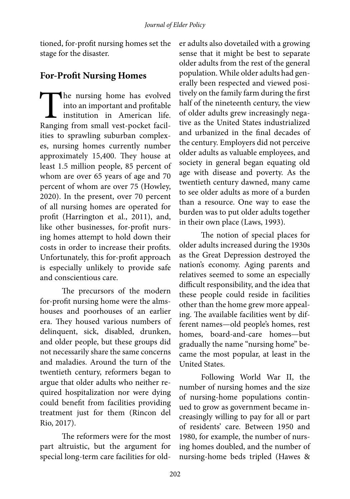tioned, for-profit nursing homes set the stage for the disaster.

## **For-Profit Nursing Homes**

The nursing home has evolved<br>
into an important and profitable<br>
institution in American life.<br>
Ranging from small vest-pocket facilinto an important and profitable institution in American life. ities to sprawling suburban complexes, nursing homes currently number approximately 15,400. They house at least 1.5 million people, 85 percent of whom are over 65 years of age and 70 percent of whom are over 75 (Howley, 2020). In the present, over 70 percent of all nursing homes are operated for profit (Harrington et al., 2011), and, like other businesses, for-profit nursing homes attempt to hold down their costs in order to increase their profits. Unfortunately, this for-profit approach is especially unlikely to provide safe and conscientious care.

The precursors of the modern for-profit nursing home were the almshouses and poorhouses of an earlier era. They housed various numbers of delinquent, sick, disabled, drunken, and older people, but these groups did not necessarily share the same concerns and maladies. Around the turn of the twentieth century, reformers began to argue that older adults who neither required hospitalization nor were dying could benefit from facilities providing treatment just for them (Rincon del Rio, 2017).

The reformers were for the most part altruistic, but the argument for special long-term care facilities for older adults also dovetailed with a growing sense that it might be best to separate older adults from the rest of the general population. While older adults had generally been respected and viewed positively on the family farm during the first half of the nineteenth century, the view of older adults grew increasingly negative as the United States industrialized and urbanized in the final decades of the century. Employers did not perceive older adults as valuable employees, and society in general began equating old age with disease and poverty. As the twentieth century dawned, many came to see older adults as more of a burden than a resource. One way to ease the burden was to put older adults together in their own place (Laws, 1993).

The notion of special places for older adults increased during the 1930s as the Great Depression destroyed the nation's economy. Aging parents and relatives seemed to some an especially difficult responsibility, and the idea that these people could reside in facilities other than the home grew more appealing. The available facilities went by different names—old people's homes, rest homes, board-and-care homes—but gradually the name "nursing home" became the most popular, at least in the United States.

Following World War II, the number of nursing homes and the size of nursing-home populations continued to grow as government became increasingly willing to pay for all or part of residents' care. Between 1950 and 1980, for example, the number of nursing homes doubled, and the number of nursing-home beds tripled (Hawes &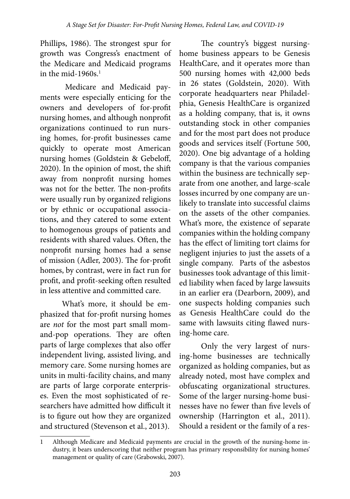Phillips, 1986). The strongest spur for growth was Congress's enactment of the Medicare and Medicaid programs in the mid-1960s.<sup>1</sup>

Medicare and Medicaid payments were especially enticing for the owners and developers of for-profit nursing homes, and although nonprofit organizations continued to run nursing homes, for-profit businesses came quickly to operate most American nursing homes (Goldstein & Gebeloff, 2020). In the opinion of most, the shift away from nonprofit nursing homes was not for the better. The non-profits were usually run by organized religions or by ethnic or occupational associations, and they catered to some extent to homogenous groups of patients and residents with shared values. Often, the nonprofit nursing homes had a sense of mission (Adler, 2003). The for-profit homes, by contrast, were in fact run for profit, and profit-seeking often resulted in less attentive and committed care.

What's more, it should be emphasized that for-profit nursing homes are *not* for the most part small momand-pop operations. They are often parts of large complexes that also offer independent living, assisted living, and memory care. Some nursing homes are units in multi-facility chains, and many are parts of large corporate enterprises. Even the most sophisticated of researchers have admitted how difficult it is to figure out how they are organized and structured (Stevenson et al., 2013).

The country's biggest nursinghome business appears to be Genesis HealthCare, and it operates more than 500 nursing homes with 42,000 beds in 26 states (Goldstein, 2020). With corporate headquarters near Philadelphia, Genesis HealthCare is organized as a holding company, that is, it owns outstanding stock in other companies and for the most part does not produce goods and services itself (Fortune 500, 2020). One big advantage of a holding company is that the various companies within the business are technically separate from one another, and large-scale losses incurred by one company are unlikely to translate into successful claims on the assets of the other companies. What's more, the existence of separate companies within the holding company has the effect of limiting tort claims for negligent injuries to just the assets of a single company. Parts of the asbestos businesses took advantage of this limited liability when faced by large lawsuits in an earlier era (Dearborn, 2009), and one suspects holding companies such as Genesis HealthCare could do the same with lawsuits citing flawed nursing-home care.

Only the very largest of nursing-home businesses are technically organized as holding companies, but as already noted, most have complex and obfuscating organizational structures. Some of the larger nursing-home businesses have no fewer than five levels of ownership (Harrington et al., 2011). Should a resident or the family of a res-

<sup>1</sup> Although Medicare and Medicaid payments are crucial in the growth of the nursing-home industry, it bears underscoring that neither program has primary responsibility for nursing homes' management or quality of care (Grabowski, 2007).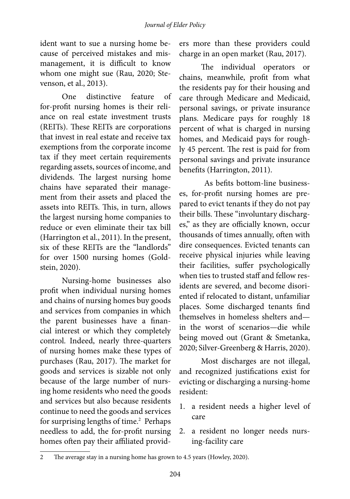ident want to sue a nursing home because of perceived mistakes and mismanagement, it is difficult to know whom one might sue (Rau, 2020; Stevenson, et al., 2013).

One distinctive feature of for-profit nursing homes is their reliance on real estate investment trusts (REITs). These REITs are corporations that invest in real estate and receive tax exemptions from the corporate income tax if they meet certain requirements regarding assets, sources of income, and dividends. The largest nursing home chains have separated their management from their assets and placed the assets into REITs. This, in turn, allows the largest nursing home companies to reduce or even eliminate their tax bill (Harrington et al., 2011). In the present, six of these REITs are the "landlords" for over 1500 nursing homes (Goldstein, 2020).

Nursing-home businesses also profit when individual nursing homes and chains of nursing homes buy goods and services from companies in which the parent businesses have a financial interest or which they completely control. Indeed, nearly three-quarters of nursing homes make these types of purchases (Rau, 2017). The market for goods and services is sizable not only because of the large number of nursing home residents who need the goods and services but also because residents continue to need the goods and services for surprising lengths of time.<sup>2</sup> Perhaps needless to add, the for-profit nursing homes often pay their affiliated providers more than these providers could charge in an open market (Rau, 2017).

The individual operators or chains, meanwhile, profit from what the residents pay for their housing and care through Medicare and Medicaid, personal savings, or private insurance plans. Medicare pays for roughly 18 percent of what is charged in nursing homes, and Medicaid pays for roughly 45 percent. The rest is paid for from personal savings and private insurance benefits (Harrington, 2011).

As befits bottom-line businesses, for-profit nursing homes are prepared to evict tenants if they do not pay their bills. These "involuntary discharges," as they are officially known, occur thousands of times annually, often with dire consequences. Evicted tenants can receive physical injuries while leaving their facilities, suffer psychologically when ties to trusted staff and fellow residents are severed, and become disoriented if relocated to distant, unfamiliar places. Some discharged tenants find themselves in homeless shelters and in the worst of scenarios—die while being moved out (Grant & Smetanka, 2020; Silver-Greenberg & Harris, 2020).

Most discharges are not illegal, and recognized justifications exist for evicting or discharging a nursing-home resident:

- 1. a resident needs a higher level of care
- 2. a resident no longer needs nursing-facility care

<sup>2</sup> The average stay in a nursing home has grown to 4.5 years (Howley, 2020).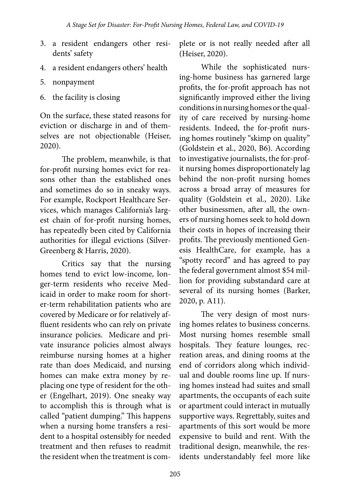- 3. a resident endangers other residents' safety
- 4. a resident endangers others' health
- 5. nonpayment
- 6. the facility is closing

On the surface, these stated reasons for eviction or discharge in and of themselves are not objectionable (Heiser, 2020).

The problem, meanwhile, is that for-profit nursing homes evict for reasons other than the established ones and sometimes do so in sneaky ways. For example, Rockport Healthcare Services, which manages California's largest chain of for-profit nursing homes, has repeatedly been cited by California authorities for illegal evictions (Silver-Greenberg & Harris, 2020).

Critics say that the nursing homes tend to evict low-income, longer-term residents who receive Medicaid in order to make room for shorter-term rehabilitation patients who are covered by Medicare or for relatively affluent residents who can rely on private insurance policies. Medicare and private insurance policies almost always reimburse nursing homes at a higher rate than does Medicaid, and nursing homes can make extra money by replacing one type of resident for the other (Engelhart, 2019). One sneaky way to accomplish this is through what is called "patient dumping." This happens when a nursing home transfers a resident to a hospital ostensibly for needed treatment and then refuses to readmit the resident when the treatment is complete or is not really needed after all (Heiser, 2020).

While the sophisticated nursing-home business has garnered large profits, the for-profit approach has not significantly improved either the living conditions in nursing homes or the quality of care received by nursing-home residents. Indeed, the for-profit nursing homes routinely "skimp on quality" (Goldstein et al., 2020, B6). According to investigative journalists, the for-profit nursing homes disproportionately lag behind the non-profit nursing homes across a broad array of measures for quality (Goldstein et al., 2020). Like other businessmen, after all, the owners of nursing homes seek to hold down their costs in hopes of increasing their profits. The previously mentioned Genesis HealthCare, for example, has a "spotty record" and has agreed to pay the federal government almost \$54 million for providing substandard care at several of its nursing homes (Barker, 2020, p. A11).

The very design of most nursing homes relates to business concerns. Most nursing homes resemble small hospitals. They feature lounges, recreation areas, and dining rooms at the end of corridors along which individual and double rooms line up. If nursing homes instead had suites and small apartments, the occupants of each suite or apartment could interact in mutually supportive ways. Regrettably, suites and apartments of this sort would be more expensive to build and rent. With the traditional design, meanwhile, the residents understandably feel more like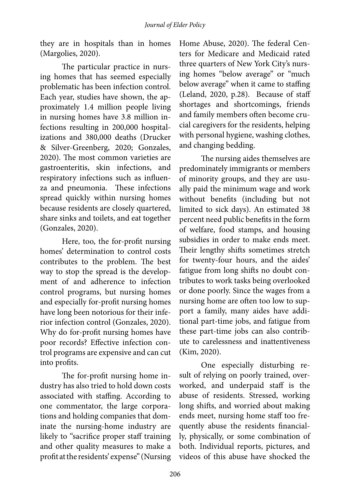they are in hospitals than in homes (Margolies, 2020).

The particular practice in nursing homes that has seemed especially problematic has been infection control. Each year, studies have shown, the approximately 1.4 million people living in nursing homes have 3.8 million infections resulting in 200,000 hospitalizations and 380,000 deaths (Drucker & Silver-Greenberg, 2020; Gonzales, 2020). The most common varieties are gastroenteritis, skin infections, and respiratory infections such as influenza and pneumonia. These infections spread quickly within nursing homes because residents are closely quartered, share sinks and toilets, and eat together (Gonzales, 2020).

Here, too, the for-profit nursing homes' determination to control costs contributes to the problem. The best way to stop the spread is the development of and adherence to infection control programs, but nursing homes and especially for-profit nursing homes have long been notorious for their inferior infection control (Gonzales, 2020). Why do for-profit nursing homes have poor records? Effective infection control programs are expensive and can cut into profits.

The for-profit nursing home industry has also tried to hold down costs associated with staffing. According to one commentator, the large corporations and holding companies that dominate the nursing-home industry are likely to "sacrifice proper staff training and other quality measures to make a profit at the residents' expense" (Nursing

Home Abuse, 2020). The federal Centers for Medicare and Medicaid rated three quarters of New York City's nursing homes "below average" or "much below average" when it came to staffing (Leland, 2020, p.28). Because of staff shortages and shortcomings, friends and family members often become crucial caregivers for the residents, helping with personal hygiene, washing clothes, and changing bedding.

The nursing aides themselves are predominately immigrants or members of minority groups, and they are usually paid the minimum wage and work without benefits (including but not limited to sick days). An estimated 38 percent need public benefits in the form of welfare, food stamps, and housing subsidies in order to make ends meet. Their lengthy shifts sometimes stretch for twenty-four hours, and the aides' fatigue from long shifts no doubt contributes to work tasks being overlooked or done poorly. Since the wages from a nursing home are often too low to support a family, many aides have additional part-time jobs, and fatigue from these part-time jobs can also contribute to carelessness and inattentiveness (Kim, 2020).

One especially disturbing result of relying on poorly trained, overworked, and underpaid staff is the abuse of residents. Stressed, working long shifts, and worried about making ends meet, nursing home staff too frequently abuse the residents financially, physically, or some combination of both. Individual reports, pictures, and videos of this abuse have shocked the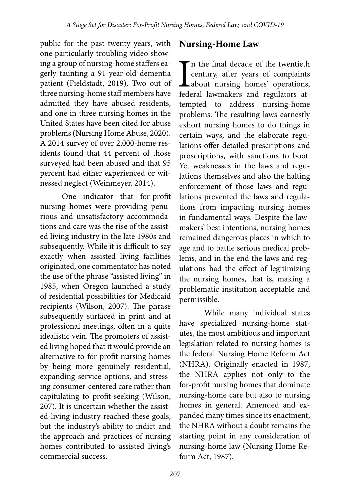public for the past twenty years, with one particularly troubling video showing a group of nursing-home staffers eagerly taunting a 91-year-old dementia patient (Fieldstadt, 2019). Two out of three nursing-home staff members have admitted they have abused residents, and one in three nursing homes in the United States have been cited for abuse problems (Nursing Home Abuse, 2020). A 2014 survey of over 2,000-home residents found that 44 percent of those surveyed had been abused and that 95 percent had either experienced or witnessed neglect (Weinmeyer, 2014).

One indicator that for-profit nursing homes were providing penurious and unsatisfactory accommodations and care was the rise of the assisted living industry in the late 1980s and subsequently. While it is difficult to say exactly when assisted living facilities originated, one commentator has noted the use of the phrase "assisted living" in 1985, when Oregon launched a study of residential possibilities for Medicaid recipients (Wilson, 2007). The phrase subsequently surfaced in print and at professional meetings, often in a quite idealistic vein. The promoters of assisted living hoped that it would provide an alternative to for-profit nursing homes by being more genuinely residential, expanding service options, and stressing consumer-centered care rather than capitulating to profit-seeking (Wilson, 207). It is uncertain whether the assisted-living industry reached these goals, but the industry's ability to indict and the approach and practices of nursing homes contributed to assisted living's commercial success.

### **Nursing-Home Law**

I<br>fede The final decade of the twentieth century, after years of complaints about nursing homes' operations, federal lawmakers and regulators attempted to address nursing-home problems. The resulting laws earnestly exhort nursing homes to do things in certain ways, and the elaborate regulations offer detailed prescriptions and proscriptions, with sanctions to boot. Yet weaknesses in the laws and regulations themselves and also the halting enforcement of those laws and regulations prevented the laws and regulations from impacting nursing homes in fundamental ways. Despite the lawmakers' best intentions, nursing homes remained dangerous places in which to age and to battle serious medical problems, and in the end the laws and regulations had the effect of legitimizing the nursing homes, that is, making a problematic institution acceptable and permissible.

While many individual states have specialized nursing-home statutes, the most ambitious and important legislation related to nursing homes is the federal Nursing Home Reform Act (NHRA). Originally enacted in 1987, the NHRA applies not only to the for-profit nursing homes that dominate nursing-home care but also to nursing homes in general. Amended and expanded many times since its enactment, the NHRA without a doubt remains the starting point in any consideration of nursing-home law (Nursing Home Reform Act, 1987).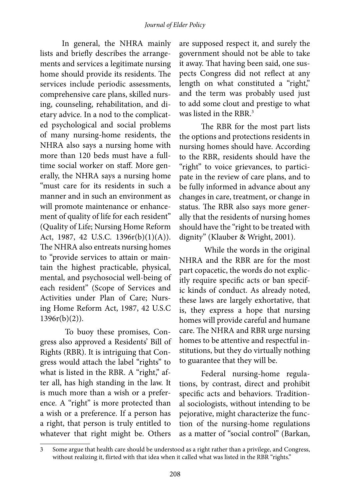In general, the NHRA mainly lists and briefly describes the arrangements and services a legitimate nursing home should provide its residents. The services include periodic assessments, comprehensive care plans, skilled nursing, counseling, rehabilitation, and dietary advice. In a nod to the complicated psychological and social problems of many nursing-home residents, the NHRA also says a nursing home with more than 120 beds must have a fulltime social worker on staff. More generally, the NHRA says a nursing home "must care for its residents in such a manner and in such an environment as will promote maintenance or enhancement of quality of life for each resident" (Quality of Life; Nursing Home Reform Act, 1987, 42 U.S.C. 1396r(b)(1)(A)). The NHRA also entreats nursing homes to "provide services to attain or maintain the highest practicable, physical, mental, and psychosocial well-being of each resident" (Scope of Services and Activities under Plan of Care; Nursing Home Reform Act, 1987, 42 U.S.C  $1396r(b)(2)$ ).

To buoy these promises, Congress also approved a Residents' Bill of Rights (RBR). It is intriguing that Congress would attach the label "rights" to what is listed in the RBR. A "right," after all, has high standing in the law. It is much more than a wish or a preference. A "right" is more protected than a wish or a preference. If a person has a right, that person is truly entitled to whatever that right might be. Others

are supposed respect it, and surely the government should not be able to take it away. That having been said, one suspects Congress did not reflect at any length on what constituted a "right," and the term was probably used just to add some clout and prestige to what was listed in the RBR.<sup>3</sup>

The RBR for the most part lists the options and protections residents in nursing homes should have. According to the RBR, residents should have the "right" to voice grievances, to participate in the review of care plans, and to be fully informed in advance about any changes in care, treatment, or change in status. The RBR also says more generally that the residents of nursing homes should have the "right to be treated with dignity" (Klauber & Wright, 2001).

While the words in the original NHRA and the RBR are for the most part copacetic, the words do not explicitly require specific acts or ban specific kinds of conduct. As already noted, these laws are largely exhortative, that is, they express a hope that nursing homes will provide careful and humane care. The NHRA and RBR urge nursing homes to be attentive and respectful institutions, but they do virtually nothing to guarantee that they will be.

Federal nursing-home regulations, by contrast, direct and prohibit specific acts and behaviors. Traditional sociologists, without intending to be pejorative, might characterize the function of the nursing-home regulations as a matter of "social control" (Barkan,

<sup>3</sup> Some argue that health care should be understood as a right rather than a privilege, and Congress, without realizing it, flirted with that idea when it called what was listed in the RBR "rights."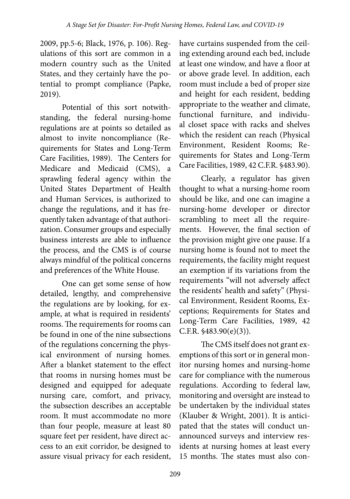2009, pp.5-6; Black, 1976, p. 106). Regulations of this sort are common in a modern country such as the United States, and they certainly have the potential to prompt compliance (Papke, 2019).

Potential of this sort notwithstanding, the federal nursing-home regulations are at points so detailed as almost to invite noncompliance (Requirements for States and Long-Term Care Facilities, 1989). The Centers for Medicare and Medicaid (CMS), a sprawling federal agency within the United States Department of Health and Human Services, is authorized to change the regulations, and it has frequently taken advantage of that authorization. Consumer groups and especially business interests are able to influence the process, and the CMS is of course always mindful of the political concerns and preferences of the White House.

One can get some sense of how detailed, lengthy, and comprehensive the regulations are by looking, for example, at what is required in residents' rooms. The requirements for rooms can be found in one of the nine subsections of the regulations concerning the physical environment of nursing homes. After a blanket statement to the effect that rooms in nursing homes must be designed and equipped for adequate nursing care, comfort, and privacy, the subsection describes an acceptable room. It must accommodate no more than four people, measure at least 80 square feet per resident, have direct access to an exit corridor, be designed to assure visual privacy for each resident,

have curtains suspended from the ceiling extending around each bed, include at least one window, and have a floor at or above grade level. In addition, each room must include a bed of proper size and height for each resident, bedding appropriate to the weather and climate, functional furniture, and individual closet space with racks and shelves which the resident can reach (Physical Environment, Resident Rooms; Requirements for States and Long-Term Care Facilities, 1989, 42 C.F.R. §483.90).

Clearly, a regulator has given thought to what a nursing-home room should be like, and one can imagine a nursing-home developer or director scrambling to meet all the requirements. However, the final section of the provision might give one pause. If a nursing home is found not to meet the requirements, the facility might request an exemption if its variations from the requirements "will not adversely affect the residents' health and safety" (Physical Environment, Resident Rooms, Exceptions; Requirements for States and Long-Term Care Facilities, 1989, 42 C.F.R. §483.90(e)(3)).

The CMS itself does not grant exemptions of this sort or in general monitor nursing homes and nursing-home care for compliance with the numerous regulations. According to federal law, monitoring and oversight are instead to be undertaken by the individual states (Klauber & Wright, 2001). It is anticipated that the states will conduct unannounced surveys and interview residents at nursing homes at least every 15 months. The states must also con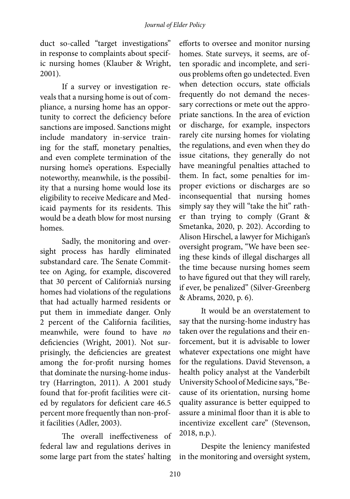duct so-called "target investigations" in response to complaints about specific nursing homes (Klauber & Wright, 2001).

If a survey or investigation reveals that a nursing home is out of compliance, a nursing home has an opportunity to correct the deficiency before sanctions are imposed. Sanctions might include mandatory in-service training for the staff, monetary penalties, and even complete termination of the nursing home's operations. Especially noteworthy, meanwhile, is the possibility that a nursing home would lose its eligibility to receive Medicare and Medicaid payments for its residents. This would be a death blow for most nursing homes.

Sadly, the monitoring and oversight process has hardly eliminated substandard care. The Senate Committee on Aging, for example, discovered that 30 percent of California's nursing homes had violations of the regulations that had actually harmed residents or put them in immediate danger. Only 2 percent of the California facilities, meanwhile, were found to have *no* deficiencies (Wright, 2001). Not surprisingly, the deficiencies are greatest among the for-profit nursing homes that dominate the nursing-home industry (Harrington, 2011). A 2001 study found that for-profit facilities were cited by regulators for deficient care 46.5 percent more frequently than non-profit facilities (Adler, 2003).

The overall ineffectiveness of federal law and regulations derives in some large part from the states' halting

efforts to oversee and monitor nursing homes. State surveys, it seems, are often sporadic and incomplete, and serious problems often go undetected. Even when detection occurs, state officials frequently do not demand the necessary corrections or mete out the appropriate sanctions. In the area of eviction or discharge, for example, inspectors rarely cite nursing homes for violating the regulations, and even when they do issue citations, they generally do not have meaningful penalties attached to them. In fact, some penalties for improper evictions or discharges are so inconsequential that nursing homes simply say they will "take the hit" rather than trying to comply (Grant & Smetanka, 2020, p. 202). According to Alison Hirschel, a lawyer for Michigan's oversight program, "We have been seeing these kinds of illegal discharges all the time because nursing homes seem to have figured out that they will rarely, if ever, be penalized" (Silver-Greenberg & Abrams, 2020, p. 6).

It would be an overstatement to say that the nursing-home industry has taken over the regulations and their enforcement, but it is advisable to lower whatever expectations one might have for the regulations. David Stevenson, a health policy analyst at the Vanderbilt University School of Medicine says, "Because of its orientation, nursing home quality assurance is better equipped to assure a minimal floor than it is able to incentivize excellent care" (Stevenson, 2018, n.p.).

Despite the leniency manifested in the monitoring and oversight system,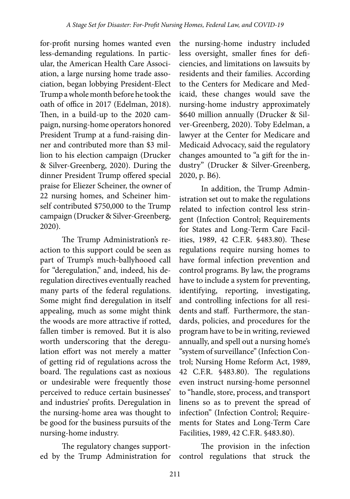for-profit nursing homes wanted even less-demanding regulations. In particular, the American Health Care Association, a large nursing home trade association, began lobbying President-Elect Trump a whole month before he took the oath of office in 2017 (Edelman, 2018). Then, in a build-up to the 2020 campaign, nursing-home operators honored President Trump at a fund-raising dinner and contributed more than \$3 million to his election campaign (Drucker & Silver-Greenberg, 2020). During the dinner President Trump offered special praise for Eliezer Scheiner, the owner of 22 nursing homes, and Scheiner himself contributed \$750,000 to the Trump campaign (Drucker & Silver-Greenberg, 2020).

The Trump Administration's reaction to this support could be seen as part of Trump's much-ballyhooed call for "deregulation," and, indeed, his deregulation directives eventually reached many parts of the federal regulations. Some might find deregulation in itself appealing, much as some might think the woods are more attractive if rotted, fallen timber is removed. But it is also worth underscoring that the deregulation effort was not merely a matter of getting rid of regulations across the board. The regulations cast as noxious or undesirable were frequently those perceived to reduce certain businesses' and industries' profits. Deregulation in the nursing-home area was thought to be good for the business pursuits of the nursing-home industry.

The regulatory changes supported by the Trump Administration for

the nursing-home industry included less oversight, smaller fines for deficiencies, and limitations on lawsuits by residents and their families. According to the Centers for Medicare and Medicaid, these changes would save the nursing-home industry approximately \$640 million annually (Drucker & Silver-Greenberg, 2020). Toby Edelman, a lawyer at the Center for Medicare and Medicaid Advocacy, said the regulatory changes amounted to "a gift for the industry" (Drucker & Silver-Greenberg, 2020, p. B6).

In addition, the Trump Administration set out to make the regulations related to infection control less stringent (Infection Control; Requirements for States and Long-Term Care Facilities, 1989, 42 C.F.R. §483.80). These regulations require nursing homes to have formal infection prevention and control programs. By law, the programs have to include a system for preventing, identifying, reporting, investigating, and controlling infections for all residents and staff. Furthermore, the standards, policies, and procedures for the program have to be in writing, reviewed annually, and spell out a nursing home's "system of surveillance" (Infection Control; Nursing Home Reform Act, 1989, 42 C.F.R. §483.80). The regulations even instruct nursing-home personnel to "handle, store, process, and transport linens so as to prevent the spread of infection" (Infection Control; Requirements for States and Long-Term Care Facilities, 1989, 42 C.F.R. §483.80).

The provision in the infection control regulations that struck the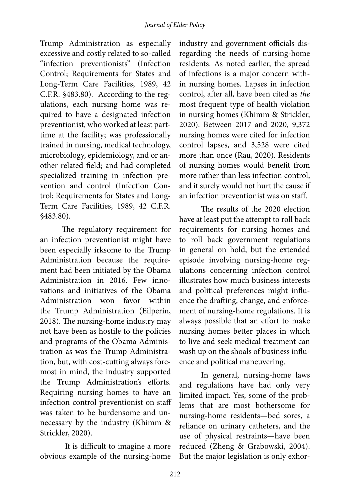Trump Administration as especially excessive and costly related to so-called "infection preventionists" (Infection Control; Requirements for States and Long-Term Care Facilities, 1989, 42 C.F.R. §483.80). According to the regulations, each nursing home was required to have a designated infection preventionist, who worked at least parttime at the facility; was professionally trained in nursing, medical technology, microbiology, epidemiology, and or another related field; and had completed specialized training in infection prevention and control (Infection Control; Requirements for States and Long-Term Care Facilities, 1989, 42 C.F.R. §483.80).

The regulatory requirement for an infection preventionist might have been especially irksome to the Trump Administration because the requirement had been initiated by the Obama Administration in 2016. Few innovations and initiatives of the Obama Administration won favor within the Trump Administration (Eilperin, 2018). The nursing-home industry may not have been as hostile to the policies and programs of the Obama Administration as was the Trump Administration, but, with cost-cutting always foremost in mind, the industry supported the Trump Administration's efforts. Requiring nursing homes to have an infection control preventionist on staff was taken to be burdensome and unnecessary by the industry (Khimm & Strickler, 2020).

It is difficult to imagine a more obvious example of the nursing-home industry and government officials disregarding the needs of nursing-home residents. As noted earlier, the spread of infections is a major concern within nursing homes. Lapses in infection control, after all, have been cited as *the*  most frequent type of health violation in nursing homes (Khimm & Strickler, 2020). Between 2017 and 2020, 9,372 nursing homes were cited for infection control lapses, and 3,528 were cited more than once (Rau, 2020). Residents of nursing homes would benefit from more rather than less infection control, and it surely would not hurt the cause if an infection preventionist was on staff.

The results of the 2020 election have at least put the attempt to roll back requirements for nursing homes and to roll back government regulations in general on hold, but the extended episode involving nursing-home regulations concerning infection control illustrates how much business interests and political preferences might influence the drafting, change, and enforcement of nursing-home regulations. It is always possible that an effort to make nursing homes better places in which to live and seek medical treatment can wash up on the shoals of business influence and political maneuvering.

In general, nursing-home laws and regulations have had only very limited impact. Yes, some of the problems that are most bothersome for nursing-home residents—bed sores, a reliance on urinary catheters, and the use of physical restraints—have been reduced (Zheng & Grabowski, 2004). But the major legislation is only exhor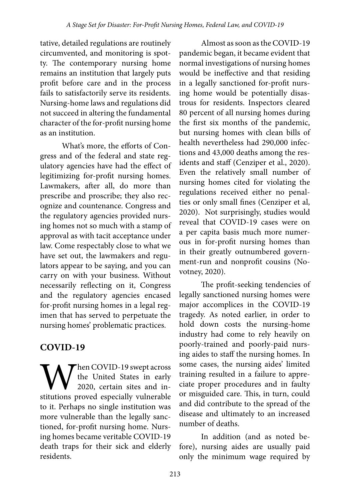tative, detailed regulations are routinely circumvented, and monitoring is spotty. The contemporary nursing home remains an institution that largely puts profit before care and in the process fails to satisfactorily serve its residents. Nursing-home laws and regulations did not succeed in altering the fundamental character of the for-profit nursing home as an institution.

What's more, the efforts of Congress and of the federal and state regulatory agencies have had the effect of legitimizing for-profit nursing homes. Lawmakers, after all, do more than prescribe and proscribe; they also recognize and countenance. Congress and the regulatory agencies provided nursing homes not so much with a stamp of approval as with tacit acceptance under law. Come respectably close to what we have set out, the lawmakers and regulators appear to be saying, and you can carry on with your business. Without necessarily reflecting on it, Congress and the regulatory agencies encased for-profit nursing homes in a legal regimen that has served to perpetuate the nursing homes' problematic practices.

# **COVID-19**

When COVID-19 swept across<br>the United States in early<br>stitutions proved especially vulnerable the United States in early 2020, certain sites and into it. Perhaps no single institution was more vulnerable than the legally sanctioned, for-profit nursing home. Nursing homes became veritable COVID-19 death traps for their sick and elderly residents.

Almost as soon as the COVID-19 pandemic began, it became evident that normal investigations of nursing homes would be ineffective and that residing in a legally sanctioned for-profit nursing home would be potentially disastrous for residents. Inspectors cleared 80 percent of all nursing homes during the first six months of the pandemic, but nursing homes with clean bills of health nevertheless had 290,000 infections and 43,000 deaths among the residents and staff (Cenziper et al., 2020). Even the relatively small number of nursing homes cited for violating the regulations received either no penalties or only small fines (Cenziper et al, 2020). Not surprisingly, studies would reveal that COVID-19 cases were on a per capita basis much more numerous in for-profit nursing homes than in their greatly outnumbered government-run and nonprofit cousins (Novotney, 2020).

The profit-seeking tendencies of legally sanctioned nursing homes were major accomplices in the COVID-19 tragedy. As noted earlier, in order to hold down costs the nursing-home industry had come to rely heavily on poorly-trained and poorly-paid nursing aides to staff the nursing homes. In some cases, the nursing aides' limited training resulted in a failure to appreciate proper procedures and in faulty or misguided care. This, in turn, could and did contribute to the spread of the disease and ultimately to an increased number of deaths.

In addition (and as noted before), nursing aides are usually paid only the minimum wage required by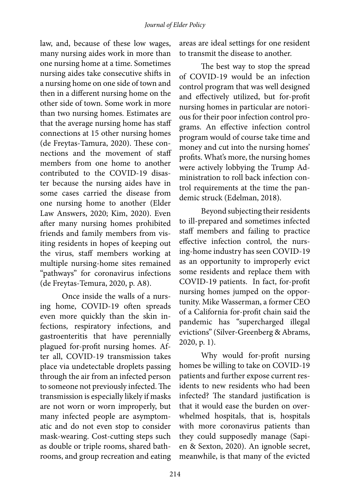law, and, because of these low wages, many nursing aides work in more than one nursing home at a time. Sometimes nursing aides take consecutive shifts in a nursing home on one side of town and then in a different nursing home on the other side of town. Some work in more than two nursing homes. Estimates are that the average nursing home has staff connections at 15 other nursing homes (de Freytas-Tamura, 2020). These connections and the movement of staff members from one home to another contributed to the COVID-19 disaster because the nursing aides have in some cases carried the disease from one nursing home to another (Elder Law Answers, 2020; Kim, 2020). Even after many nursing homes prohibited friends and family members from visiting residents in hopes of keeping out the virus, staff members working at multiple nursing-home sites remained "pathways" for coronavirus infections (de Freytas-Temura, 2020, p. A8).

Once inside the walls of a nursing home, COVID-19 often spreads even more quickly than the skin infections, respiratory infections, and gastroenteritis that have perennially plagued for-profit nursing homes. After all, COVID-19 transmission takes place via undetectable droplets passing through the air from an infected person to someone not previously infected. The transmission is especially likely if masks are not worn or worn improperly, but many infected people are asymptomatic and do not even stop to consider mask-wearing. Cost-cutting steps such as double or triple rooms, shared bathrooms, and group recreation and eating

areas are ideal settings for one resident to transmit the disease to another.

The best way to stop the spread of COVID-19 would be an infection control program that was well designed and effectively utilized, but for-profit nursing homes in particular are notorious for their poor infection control programs. An effective infection control program would of course take time and money and cut into the nursing homes' profits. What's more, the nursing homes were actively lobbying the Trump Administration to roll back infection control requirements at the time the pandemic struck (Edelman, 2018).

Beyond subjecting their residents to ill-prepared and sometimes infected staff members and failing to practice effective infection control, the nursing-home industry has seen COVID-19 as an opportunity to improperly evict some residents and replace them with COVID-19 patients. In fact, for-profit nursing homes jumped on the opportunity. Mike Wasserman, a former CEO of a California for-profit chain said the pandemic has "supercharged illegal evictions" (Silver-Greenberg & Abrams, 2020, p. 1).

Why would for-profit nursing homes be willing to take on COVID-19 patients and further expose current residents to new residents who had been infected? The standard justification is that it would ease the burden on overwhelmed hospitals, that is, hospitals with more coronavirus patients than they could supposedly manage (Sapien & Sexton, 2020). An ignoble secret, meanwhile, is that many of the evicted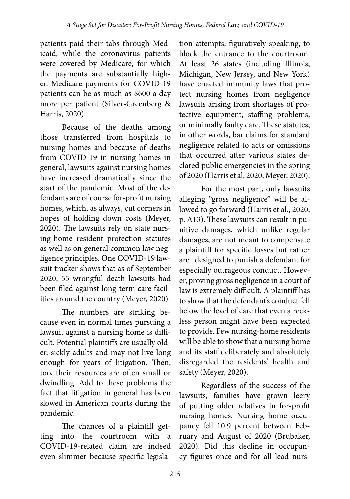patients paid their tabs through Medicaid, while the coronavirus patients were covered by Medicare, for which the payments are substantially higher. Medicare payments for COVID-19 patients can be as much as \$600 a day more per patient (Silver-Greenberg & Harris, 2020).

Because of the deaths among those transferred from hospitals to nursing homes and because of deaths from COVID-19 in nursing homes in general, lawsuits against nursing homes have increased dramatically since the start of the pandemic. Most of the defendants are of course for-profit nursing homes, which, as always, cut corners in hopes of holding down costs (Meyer, 2020). The lawsuits rely on state nursing-home resident protection statutes as well as on general common law negligence principles. One COVID-19 lawsuit tracker shows that as of September 2020, 55 wrongful death lawsuits had been filed against long-term care facilities around the country (Meyer, 2020).

The numbers are striking because even in normal times pursuing a lawsuit against a nursing home is difficult. Potential plaintiffs are usually older, sickly adults and may not live long enough for years of litigation. Then, too, their resources are often small or dwindling. Add to these problems the fact that litigation in general has been slowed in American courts during the pandemic.

The chances of a plaintiff getting into the courtroom with a COVID-19-related claim are indeed even slimmer because specific legisla-

tion attempts, figuratively speaking, to block the entrance to the courtroom. At least 26 states (including Illinois, Michigan, New Jersey, and New York) have enacted immunity laws that protect nursing homes from negligence lawsuits arising from shortages of protective equipment, staffing problems, or minimally faulty care. These statutes, in other words, bar claims for standard negligence related to acts or omissions that occurred after various states declared public emergencies in the spring of 2020 (Harris et al, 2020; Meyer, 2020).

For the most part, only lawsuits alleging "gross negligence" will be allowed to go forward (Harris et al., 2020, p. A13). These lawsuits can result in punitive damages, which unlike regular damages, are not meant to compensate a plaintiff for specific losses but rather are designed to punish a defendant for especially outrageous conduct. However, proving gross negligence in a court of law is extremely difficult. A plaintiff has to show that the defendant's conduct fell below the level of care that even a reckless person might have been expected to provide. Few nursing-home residents will be able to show that a nursing home and its staff deliberately and absolutely disregarded the residents' health and safety (Meyer, 2020).

Regardless of the success of the lawsuits, families have grown leery of putting older relatives in for-profit nursing homes. Nursing home occupancy fell 10.9 percent between February and August of 2020 (Brubaker, 2020). Did this decline in occupancy figures once and for all lead nurs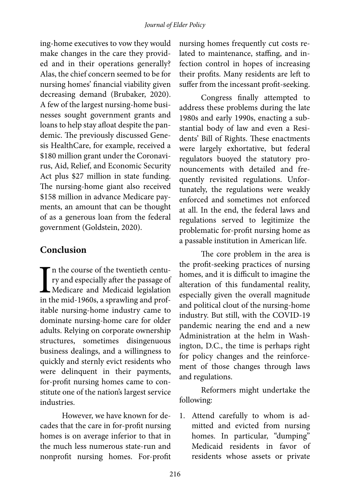ing-home executives to vow they would make changes in the care they provided and in their operations generally? Alas, the chief concern seemed to be for nursing homes' financial viability given decreasing demand (Brubaker, 2020). A few of the largest nursing-home businesses sought government grants and loans to help stay afloat despite the pandemic. The previously discussed Genesis HealthCare, for example, received a \$180 million grant under the Coronavirus, Aid, Relief, and Economic Security Act plus \$27 million in state funding. The nursing-home giant also received \$158 million in advance Medicare payments, an amount that can be thought of as a generous loan from the federal government (Goldstein, 2020).

## **Conclusion**

In the course of the twentieth centu-<br>ry and especially after the passage of<br>Medicare and Medicaid legislation<br>in the mid-1960s, a sprawling and profn the course of the twentieth century and especially after the passage of Medicare and Medicaid legislation itable nursing-home industry came to dominate nursing-home care for older adults. Relying on corporate ownership structures, sometimes disingenuous business dealings, and a willingness to quickly and sternly evict residents who were delinquent in their payments, for-profit nursing homes came to constitute one of the nation's largest service industries.

However, we have known for decades that the care in for-profit nursing homes is on average inferior to that in the much less numerous state-run and nonprofit nursing homes. For-profit

nursing homes frequently cut costs related to maintenance, staffing, and infection control in hopes of increasing their profits. Many residents are left to suffer from the incessant profit-seeking.

Congress finally attempted to address these problems during the late 1980s and early 1990s, enacting a substantial body of law and even a Residents' Bill of Rights. These enactments were largely exhortative, but federal regulators buoyed the statutory pronouncements with detailed and frequently revisited regulations. Unfortunately, the regulations were weakly enforced and sometimes not enforced at all. In the end, the federal laws and regulations served to legitimize the problematic for-profit nursing home as a passable institution in American life.

The core problem in the area is the profit-seeking practices of nursing homes, and it is difficult to imagine the alteration of this fundamental reality, especially given the overall magnitude and political clout of the nursing-home industry. But still, with the COVID-19 pandemic nearing the end and a new Administration at the helm in Washington, D.C., the time is perhaps right for policy changes and the reinforcement of those changes through laws and regulations.

Reformers might undertake the following:

1. Attend carefully to whom is admitted and evicted from nursing homes. In particular, "dumping" Medicaid residents in favor of residents whose assets or private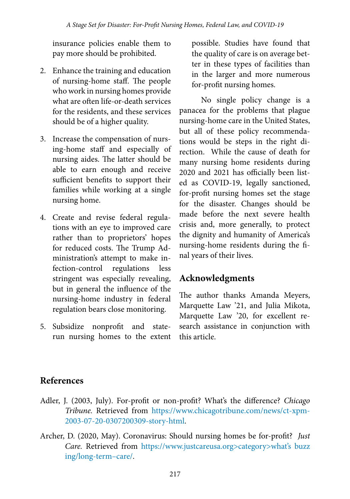insurance policies enable them to pay more should be prohibited.

- 2. Enhance the training and education of nursing-home staff. The people who work in nursing homes provide what are often life-or-death services for the residents, and these services should be of a higher quality.
- 3. Increase the compensation of nursing-home staff and especially of nursing aides. The latter should be able to earn enough and receive sufficient benefits to support their families while working at a single nursing home.
- 4. Create and revise federal regulations with an eye to improved care rather than to proprietors' hopes for reduced costs. The Trump Administration's attempt to make infection-control regulations less stringent was especially revealing, but in general the influence of the nursing-home industry in federal regulation bears close monitoring.
- 5. Subsidize nonprofit and staterun nursing homes to the extent

possible. Studies have found that the quality of care is on average better in these types of facilities than in the larger and more numerous for-profit nursing homes.

No single policy change is a panacea for the problems that plague nursing-home care in the United States, but all of these policy recommendations would be steps in the right direction. While the cause of death for many nursing home residents during 2020 and 2021 has officially been listed as COVID-19, legally sanctioned, for-profit nursing homes set the stage for the disaster. Changes should be made before the next severe health crisis and, more generally, to protect the dignity and humanity of America's nursing-home residents during the final years of their lives.

# **Acknowledgments**

The author thanks Amanda Meyers, Marquette Law '21, and Julia Mikota, Marquette Law '20, for excellent research assistance in conjunction with this article.

# **References**

- Adler, J. (2003, July). For-profit or non-profit? What's the difference? *Chicago Tribune.* Retrieved from [https://www.chicagotribune.com/news/ct-xpm-](https://www.chicagotribune.com/news/ct-xpm-2003-07-20-0307200309-story-html)[2003-07-20-0307200309-](https://www.chicagotribune.com/news/ct-xpm-2003-07-20-0307200309-story-html)story-html.
- Archer, D. (2020, May). Coronavirus: Should nursing homes be for-profit? *Just Care.* Retrieved from [https://www.justcareusa.org>category>what's](https://www.justcareusa.org>category>what’s buzzing/long-term–care/) buzz ing/long-term–care/.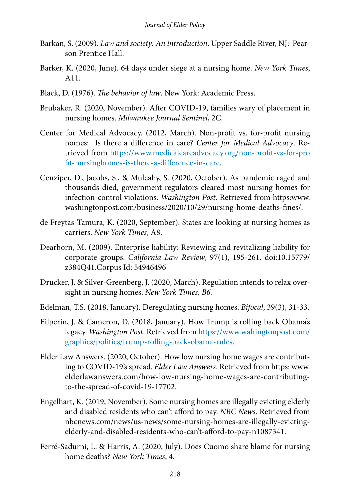- Barkan, S. (2009). *Law and society: An introduction*. Upper Saddle River, NJ: Pearson Prentice Hall.
- Barker, K. (2020, June). 64 days under siege at a nursing home. *New York Times*, A11.
- Black, D. (1976). *The behavior of law*. New York: Academic Press.
- Brubaker, R. (2020, November). After COVID-19, families wary of placement in nursing homes. *Milwaukee Journal Sentinel*, 2C.
- Center for Medical Advocacy. (2012, March). Non-profit vs. for-profit nursing homes: Is there a difference in care? *Center for Medical Advocacy*. Retrieved from [https://www.medicalcareadvocacy.org/non-profit-vs-for-pro](https://www.medicalcareadvocacy.org/non-profit-vs-for-pro
fit-nursinghomes-is-there-a-difference-in-care) [fit-nursinghomes-is-there-a-d](https://www.medicalcareadvocacy.org/non-profit-vs-for-pro
fit-nursinghomes-is-there-a-difference-in-care)ifference-in-care.
- Cenziper, D., Jacobs, S., & Mulcahy, S. (2020, October). As pandemic raged and thousands died, government regulators cleared most nursing homes for infection-control violations. *Washington Post*. Retrieved from https:www. washingtonpost.com/business/2020/10/29/nursing-home-deaths-fines/.
- de Freytas-Tamura, K. (2020, September). States are looking at nursing homes as carriers. *New York Times*, A8.
- Dearborn, M. (2009). Enterprise liability: Reviewing and revitalizing liability for corporate groups. *California Law Review*, 97(1), 195-261. doi:10.15779/ z384Q41.Corpus Id: 54946496
- Drucker, J. & Silver-Greenberg, J. (2020, March). Regulation intends to relax oversight in nursing homes. *New York Times, B6.*
- Edelman, T.S. (2018, January). Deregulating nursing homes. *Bifocal*, 39(3), 31-33.
- Eilperin, J. & Cameron, D. (2018, January). How Trump is rolling back Obama's legacy. *Washington Post*. Retrieved from [https://www.wahington](https://www.wahingtonpost.com/graphics/politics/trump-rolling-back-obama-rules)post.com/ graphics/politics/trump-rolling-back-obama-rules.
- Elder Law Answers. (2020, October). How low nursing home wages are contributing to COVID-19's spread. *Elder Law Answers*. Retrieved from https: www. elderlawanswers.com/how-low-nursing-home-wages-are-contributingto-the-spread-of-covid-19-17702.
- Engelhart, K. (2019, November). Some nursing homes are illegally evicting elderly and disabled residents who can't afford to pay. *NBC News*. Retrieved from nbcnews.com/news/us-news/some-nursing-homes-are-illegally-evictingelderly-and-disabled-residents-who-can't-afford-to-pay-n1087341.
- Ferré-Sadurni, L. & Harris, A. (2020, July). Does Cuomo share blame for nursing home deaths? *New York Times*, 4.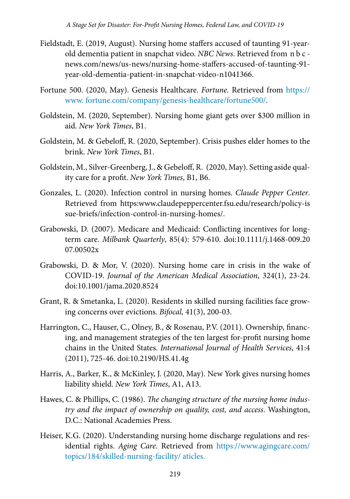- Fieldstadt, E. (2019, August). Nursing home staffers accused of taunting 91-yearold dementia patient in snapchat video. *NBC News*. Retrieved from n b c news.com/news/us-news/nursing-home-staffers-accused-of-taunting-91 year-old-dementia-patient-in-snapchat-video-n1041366.
- Fortune 500. (2020, May). Genesis Healthcare. *Fortune.* Retrieved from [https://](https://www. fortune.com/company/genesis-healthcare/fortune500/) [www.](https://www. fortune.com/company/genesis-healthcare/fortune500/) fortune.com/company/genesis-healthcare/fortune500/.
- Goldstein, M. (2020, September). Nursing home giant gets over \$300 million in aid. *New York Times*, B1.
- Goldstein, M. & Gebeloff, R. (2020, September). Crisis pushes elder homes to the brink. *New York Times*, B1.
- Goldstein, M., Silver-Greenberg, J., & Gebeloff, R. (2020, May). Setting aside quality care for a profit. *New York Times*, B1, B6.
- Gonzales, L. (2020). Infection control in nursing homes. *Claude Pepper Center*. Retrieved from https:www.claudepeppercenter.fsu.edu/research/policy-is sue-briefs/infection-control-in-nursing-homes/.
- Grabowski, D. (2007). Medicare and Medicaid: Conflicting incentives for longterm care. *Milbank Quarterly*, 85(4): 579-610. doi:10.1111/j.1468-009.20 07.00502x
- Grabowski, D. & Mor, V. (2020). Nursing home care in crisis in the wake of COVID-19. *Journal of the American Medical Association*, 324(1), 23-24. doi:10.1001/jama.2020.8524
- Grant, R. & Smetanka, L. (2020). Residents in skilled nursing facilities face growing concerns over evictions. *Bifocal,* 41(3), 200-03.
- Harrington, C., Hauser, C., Olney, B., & Rosenau, P.V. (2011). Ownership, financing, and management strategies of the ten largest for-profit nursing home chains in the United States. *International Journal of Health Services*, 41:4 (2011), 725-46. doi:10.2190/HS.41.4g
- Harris, A., Barker, K., & McKinley, J. (2020, May). New York gives nursing homes liability shield. *New York Times*, A1, A13.
- Hawes, C. & Phillips, C. (1986). *The changing structure of the nursing home industry and the impact of ownership on quality, cost, and access*. Washington, D.C.: National Academies Press.
- Heiser, K.G. (2020). Understanding nursing home discharge regulations and residential rights. *Aging Care*. Retrieved from [https://www.agingcare.com/](https://www.agingcare.com/topics/184/skilled-nursing%09-facility/%20aticles.) [topics/184/skilled-nursing-facility/ aticles.](https://www.agingcare.com/topics/184/skilled-nursing%09-facility/%20aticles.)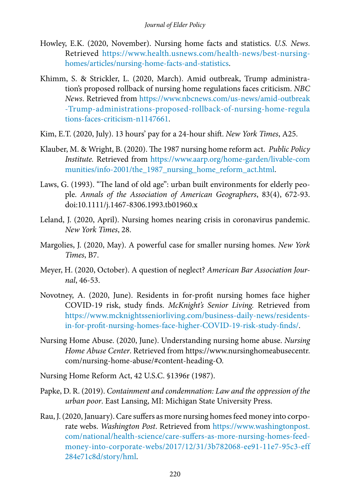- Howley, E.K. (2020, November). Nursing home facts and statistics. *U.S. News*. Retrieved [https://www.health.usnews.com/health-news/best-nursing](https://www.health.usnews.com/health-news/best-nursing-homes/articles/nursing-home-facts-and-statistics)[homes/articles/nursing](https://www.health.usnews.com/health-news/best-nursing-homes/articles/nursing-home-facts-and-statistics)-home-facts-and-statistics.
- Khimm, S. & Strickler, L. (2020, March). Amid outbreak, Trump administration's proposed rollback of nursing home regulations faces criticism. *NBC News*. Retrieved from [https://www.nbcnews.com/us-news/amid-outbreak](https://www.nbcnews.com/us-news/amid-outbreak
-Trump-administrations-proposed-rollback-of-nursing-home-regulations-faces-criticism-n1147661) [-Trump-administrations-proposed-rollback-of-nursing-home-regula](https://www.nbcnews.com/us-news/amid-outbreak
-Trump-administrations-proposed-rollback-of-nursing-home-regulations-faces-criticism-n1147661) [tions-faces-criticism-n](https://www.nbcnews.com/us-news/amid-outbreak
-Trump-administrations-proposed-rollback-of-nursing-home-regulations-faces-criticism-n1147661)1147661.
- Kim, E.T. (2020, July). 13 hours' pay for a 24-hour shift. *New York Times*, A25.
- Klauber, M. & Wright, B. (2020). The 1987 nursing home reform act. *Public Policy Institute.* Retrieved from [https://www.aarp.org/home-garden/livable-com](https://www.aarp.org/home-garden/livable-communities/info-2001/the_1987_nursing_home_reform_act.html) munities/info-2001/the 1987 nursing home reform act.html.
- Laws, G. (1993). "The land of old age": urban built environments for elderly people. *Annals of the Association of American Geographers*, 83(4), 672-93. doi:10.1111/j.1467-8306.1993.tb01960.x
- Leland, J. (2020, April). Nursing homes nearing crisis in coronavirus pandemic. *New York Times*, 28.
- Margolies, J. (2020, May). A powerful case for smaller nursing homes. *New York Times*, B7.
- Meyer, H. (2020, October). A question of neglect? *American Bar Association Journal*, 46-53.
- Novotney, A. (2020, June). Residents in for-profit nursing homes face higher COVID-19 risk, study finds. *McKnight's Senior Living.* Retrieved from [https://www.mcknightsseniorliving.com/business-daily-news/residents](https://www.mcknightsseniorliving.com/business-daily-news/residents-in-for-profit-nursing-homes-face-higher-COVID-19-risk-study-finds/)[in-for-profit-](https://www.mcknightsseniorliving.com/business-daily-news/residents-in-for-profit-nursing-homes-face-higher-COVID-19-risk-study-finds/)nursing-homes-face-higher-COVID-19-risk-study-finds/.
- Nursing Home Abuse. (2020, June). Understanding nursing home abuse. *Nursing Home Abuse Center*. Retrieved from https://www.nursinghomeabusecentr. com/nursing-home-abuse/#content-heading-O.
- Nursing Home Reform Act, 42 U.S.C. §1396r (1987).
- Papke, D. R. (2019). *Containment and condemnation: Law and the oppression of the urban poor*. East Lansing, MI: Michigan State University Press.
- Rau, J. (2020, January). Care suffers as more nursing homes feed money into corporate webs. *Washington Post*. Retrieved from [https://www.washingtonpost.](https://www.washingtonpost.com/national/health-science/care-suffers-as-more-nursing-homes-feed-money-into-corporate-webs/2017/12/31/3b782068-ee91-11e7-95c3-eff284e71c8d/story/hml) [com/national/health-science/care-suffers-as-more-nursing-](https://www.washingtonpost.com/national/health-science/care-suffers-as-more-nursing-homes-feed-money-into-corporate-webs/2017/12/31/3b782068-ee91-11e7-95c3-eff284e71c8d/story/hml)homes-feedmoney-into-corporate-webs/2017/12/31/3b782068-ee91-11e7-95c3-eff 284e71c8d/story/hml.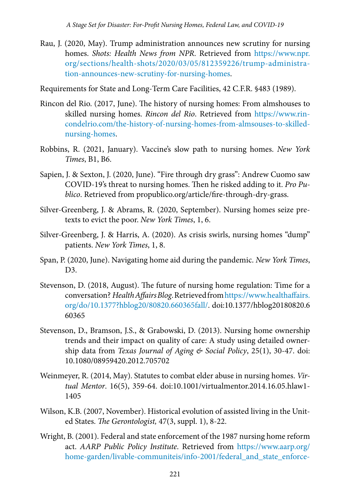Rau, J. (2020, May). Trump administration announces new scrutiny for nursing homes. *Shots: Health News from NPR*. Retrieved from [https://www.](https://www.npr.org/sections/health-shots/2020/03/05/812359226/trump-administration-announces-new-scrutiny-for-nursing-homes)npr. org/sections/health-shots/2020/03/05/812359226/trump-administration-announces-new-scrutiny-for-nursing-homes.

Requirements for State and Long-Term Care Facilities, 42 C.F.R. §483 (1989).

- Rincon del Rio. (2017, June). The history of nursing homes: From almshouses to skilled nursing homes. *Rincon del Rio*. Retrieved from [https://www.rin](https://www.rincondelrio.com/the-history-of-nursing-homes-from-almsouses-to-skilled-nursing-homes)[condelrio.com/the-history-of-nursing-homes-from-almsouses-to-](https://www.rincondelrio.com/the-history-of-nursing-homes-from-almsouses-to-skilled-nursing-homes)skillednursing-homes.
- Robbins, R. (2021, January). Vaccine's slow path to nursing homes. *New York Times*, B1, B6.
- Sapien, J. & Sexton, J. (2020, June). "Fire through dry grass": Andrew Cuomo saw COVID-19's threat to nursing homes. Then he risked adding to it. *Pro Publico*. Retrieved from propublico.org/article/fire-through-dry-grass.
- Silver-Greenberg, J. & Abrams, R. (2020, September). Nursing homes seize pretexts to evict the poor. *New York Times*, 1, 6.
- Silver-Greenberg, J. & Harris, A. (2020). As crisis swirls, nursing homes "dump" patients. *New York Times*, 1, 8.
- Span, P. (2020, June). Navigating home aid during the pandemic. *New York Times*, D3.
- Stevenson, D. (2018, August). The future of nursing home regulation: Time for a conversation? *Health Affairs Blog*. Retrieved from [https://www.healthaffairs.](https://www.healthaffairs.org/do/10.1377?hblog20/80820.660365fall/) [org/do/10.1377?hblog20/80820.660365fall/](https://www.healthaffairs.org/do/10.1377?hblog20/80820.660365fall/). doi:10.1377/hblog20180820.6 60365
- Stevenson, D., Bramson, J.S., & Grabowski, D. (2013). Nursing home ownership trends and their impact on quality of care: A study using detailed ownership data from *Texas Journal of Aging & Social Policy*, 25(1), 30-47. doi: 10.1080/08959420.2012.705702
- Weinmeyer, R. (2014, May). Statutes to combat elder abuse in nursing homes. *Virtual Mentor*. 16(5), 359-64. doi:10.1001/virtualmentor.2014.16.05.hlaw1- 1405
- Wilson, K.B. (2007, November). Historical evolution of assisted living in the United States. *The Gerontologist,* 47(3, suppl. 1), 8-22.
- Wright, B. (2001). Federal and state enforcement of the 1987 nursing home reform act. *AARP Public Policy Institute*. Retrieved from [https://www.aarp.org/](https://www.aarp.org/home-garden/livable-communiteis/info-2001/federal_and_state_enforcement_of_the_1987_nursing_home_reform_act.html) [home-garden/livable-communiteis/info-2001/](https://www.aarp.org/home-garden/livable-communiteis/info-2001/federal_and_state_enforcement_of_the_1987_nursing_home_reform_act.html)federal\_and\_state\_enforce-